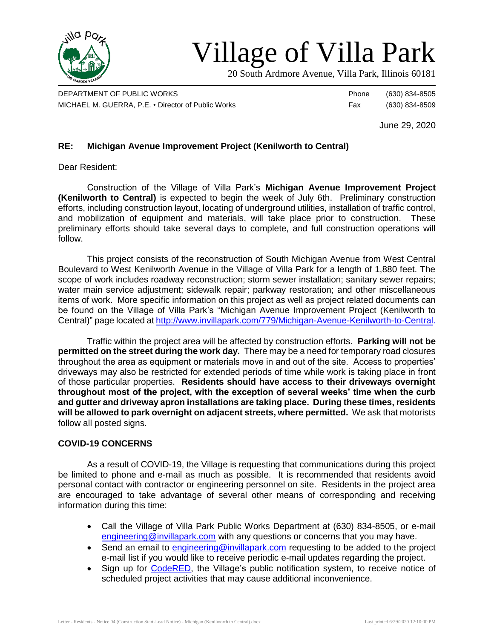

# Village of Villa Park

20 South Ardmore Avenue, Villa Park, Illinois 60181

DEPARTMENT OF PUBLIC WORKS **Phone** (630) 834-8505 MICHAEL M. GUERRA, P.E. • Director of Public Works Fax (630) 834-8509

June 29, 2020

## **RE: Michigan Avenue Improvement Project (Kenilworth to Central)**

Dear Resident:

Construction of the Village of Villa Park's **Michigan Avenue Improvement Project (Kenilworth to Central)** is expected to begin the week of July 6th. Preliminary construction efforts, including construction layout, locating of underground utilities, installation of traffic control, and mobilization of equipment and materials, will take place prior to construction. These preliminary efforts should take several days to complete, and full construction operations will follow.

This project consists of the reconstruction of South Michigan Avenue from West Central Boulevard to West Kenilworth Avenue in the Village of Villa Park for a length of 1,880 feet. The scope of work includes roadway reconstruction; storm sewer installation; sanitary sewer repairs; water main service adjustment; sidewalk repair; parkway restoration; and other miscellaneous items of work. More specific information on this project as well as project related documents can be found on the Village of Villa Park's "Michigan Avenue Improvement Project (Kenilworth to Central)" page located a[t http://www.invillapark.com/779/Michigan-Avenue-Kenilworth-to-Central.](http://www.invillapark.com/779/Michigan-Avenue-Kenilworth-to-Central)

Traffic within the project area will be affected by construction efforts. **Parking will not be permitted on the street during the work day.** There may be a need for temporary road closures throughout the area as equipment or materials move in and out of the site. Access to properties' driveways may also be restricted for extended periods of time while work is taking place in front of those particular properties. **Residents should have access to their driveways overnight throughout most of the project, with the exception of several weeks' time when the curb and gutter and driveway apron installations are taking place. During these times, residents will be allowed to park overnight on adjacent streets, where permitted.** We ask that motorists follow all posted signs.

### **COVID-19 CONCERNS**

As a result of COVID-19, the Village is requesting that communications during this project be limited to phone and e-mail as much as possible. It is recommended that residents avoid personal contact with contractor or engineering personnel on site. Residents in the project area are encouraged to take advantage of several other means of corresponding and receiving information during this time:

- Call the Village of Villa Park Public Works Department at (630) 834-8505, or e-mail [engineering@invillapark.com](mailto:engineering@invillapark.com) with any questions or concerns that you may have.
- Send an email to [engineering@invillapark.com](mailto:engineering@invillapark.com) requesting to be added to the project e-mail list if you would like to receive periodic e-mail updates regarding the project.
- Sign up for [CodeRED,](http://www.invillapark.com/787/CodeRED) the Village's public notification system, to receive notice of scheduled project activities that may cause additional inconvenience.